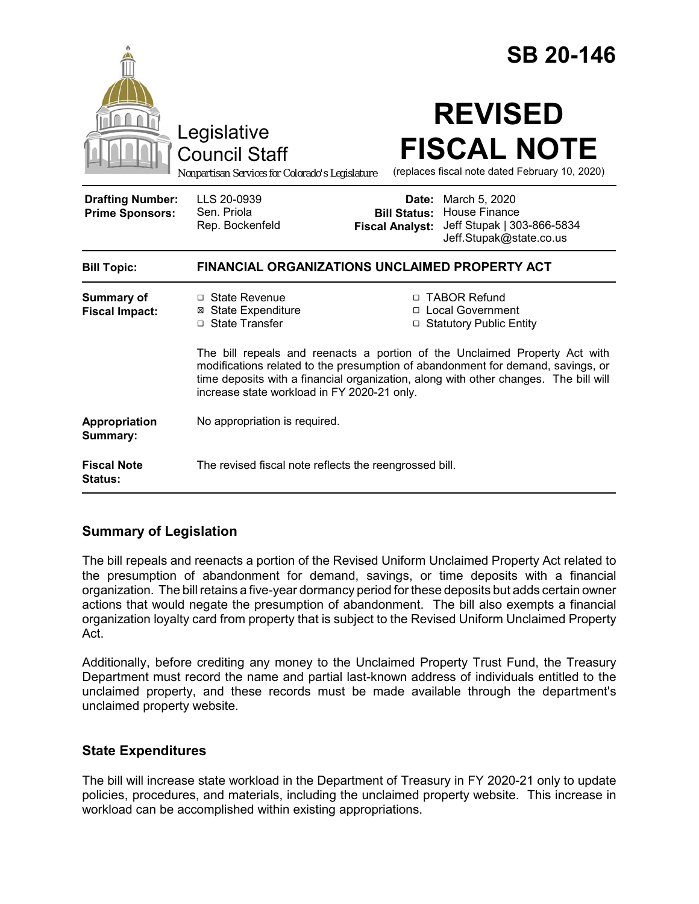|                                                   |                                                                                                                                                                                                                                                                                                      |                                                        | <b>SB 20-146</b>                                                                        |  |
|---------------------------------------------------|------------------------------------------------------------------------------------------------------------------------------------------------------------------------------------------------------------------------------------------------------------------------------------------------------|--------------------------------------------------------|-----------------------------------------------------------------------------------------|--|
|                                                   | Legislative<br><b>Council Staff</b><br>Nonpartisan Services for Colorado's Legislature                                                                                                                                                                                                               |                                                        | <b>REVISED</b><br><b>FISCAL NOTE</b><br>(replaces fiscal note dated February 10, 2020)  |  |
| <b>Drafting Number:</b><br><b>Prime Sponsors:</b> | LLS 20-0939<br>Sen. Priola<br>Rep. Bockenfeld                                                                                                                                                                                                                                                        | Date:<br><b>Bill Status:</b><br><b>Fiscal Analyst:</b> | March 5, 2020<br>House Finance<br>Jeff Stupak   303-866-5834<br>Jeff.Stupak@state.co.us |  |
| <b>Bill Topic:</b>                                | FINANCIAL ORGANIZATIONS UNCLAIMED PROPERTY ACT                                                                                                                                                                                                                                                       |                                                        |                                                                                         |  |
| Summary of<br><b>Fiscal Impact:</b>               | $\Box$ State Revenue<br><b>⊠</b> State Expenditure<br>□ State Transfer                                                                                                                                                                                                                               |                                                        | □ TABOR Refund<br>□ Local Government<br>□ Statutory Public Entity                       |  |
|                                                   | The bill repeals and reenacts a portion of the Unclaimed Property Act with<br>modifications related to the presumption of abandonment for demand, savings, or<br>time deposits with a financial organization, along with other changes. The bill will<br>increase state workload in FY 2020-21 only. |                                                        |                                                                                         |  |
| Appropriation<br>Summary:                         | No appropriation is required.                                                                                                                                                                                                                                                                        |                                                        |                                                                                         |  |
| <b>Fiscal Note</b><br>Status:                     | The revised fiscal note reflects the reengrossed bill.                                                                                                                                                                                                                                               |                                                        |                                                                                         |  |

### **Summary of Legislation**

The bill repeals and reenacts a portion of the Revised Uniform Unclaimed Property Act related to the presumption of abandonment for demand, savings, or time deposits with a financial organization. The bill retains a five-year dormancy period for these deposits but adds certain owner actions that would negate the presumption of abandonment. The bill also exempts a financial organization loyalty card from property that is subject to the Revised Uniform Unclaimed Property Act.

Additionally, before crediting any money to the Unclaimed Property Trust Fund, the Treasury Department must record the name and partial last-known address of individuals entitled to the unclaimed property, and these records must be made available through the department's unclaimed property website.

#### **State Expenditures**

The bill will increase state workload in the Department of Treasury in FY 2020-21 only to update policies, procedures, and materials, including the unclaimed property website. This increase in workload can be accomplished within existing appropriations.